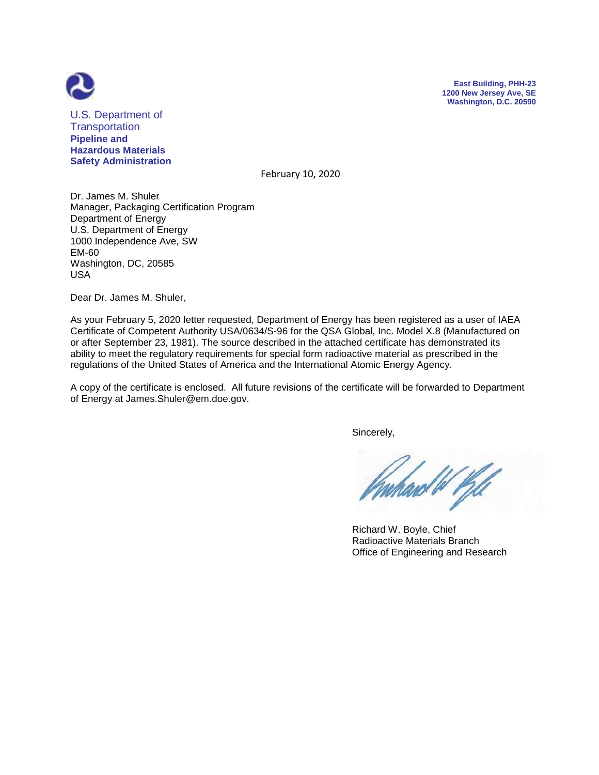



U.S. Department of **Transportation Pipeline and Hazardous Materials Safety Administration**

February 10, 2020

Dr. James M. Shuler Manager, Packaging Certification Program Department of Energy U.S. Department of Energy 1000 Independence Ave, SW EM-60 Washington, DC, 20585 USA

Dear Dr. James M. Shuler,

As your February 5, 2020 letter requested, Department of Energy has been registered as a user of IAEA Certificate of Competent Authority USA/0634/S-96 for the QSA Global, Inc. Model X.8 (Manufactured on or after September 23, 1981). The source described in the attached certificate has demonstrated its ability to meet the regulatory requirements for special form radioactive material as prescribed in the regulations of the United States of America and the International Atomic Energy Agency.

A copy of the certificate is enclosed. All future revisions of the certificate will be forwarded to Department of Energy at James.Shuler@em.doe.gov.

Sincerely,

 Richard W. Boyle, Chief Radioactive Materials Branch Office of Engineering and Research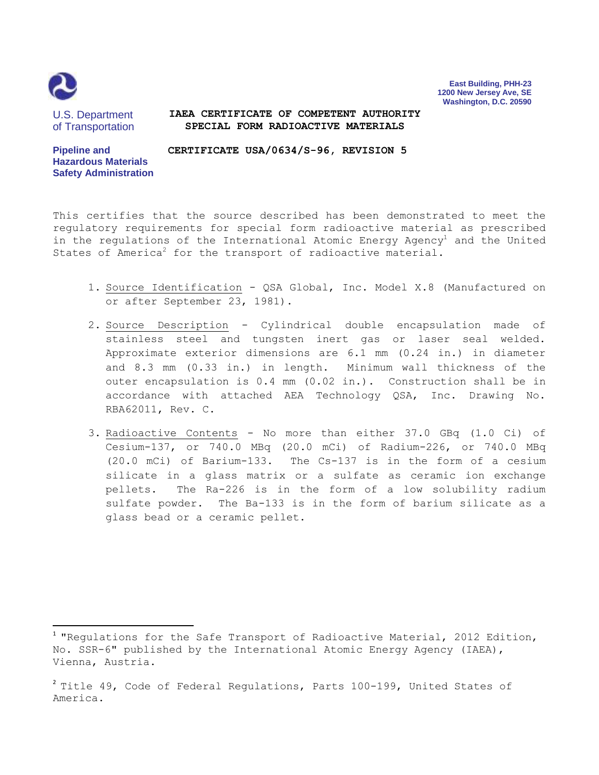

 $\overline{\phantom{a}}$ 

**East Building, PHH-23 1200 New Jersey Ave, SE Washington, D.C. 20590**

U.S. Department of Transportation

## **IAEA CERTIFICATE OF COMPETENT AUTHORITY SPECIAL FORM RADIOACTIVE MATERIALS**

**Pipeline and Hazardous Materials Safety Administration CERTIFICATE USA/0634/S-96, REVISION 5**

This certifies that the source described has been demonstrated to meet the regulatory requirements for special form radioactive material as prescribed in the regulations of the International Atomic Energy Agency<sup>1</sup> and the United States of America<sup>2</sup> for the transport of radioactive material.

- 1. Source Identification QSA Global, Inc. Model X.8 (Manufactured on or after September 23, 1981).
- 2. Source Description Cylindrical double encapsulation made of stainless steel and tungsten inert gas or laser seal welded. Approximate exterior dimensions are 6.1 mm (0.24 in.) in diameter and 8.3 mm (0.33 in.) in length. Minimum wall thickness of the outer encapsulation is 0.4 mm (0.02 in.). Construction shall be in accordance with attached AEA Technology QSA, Inc. Drawing No. RBA62011, Rev. C.
- 3. Radioactive Contents No more than either 37.0 GBq (1.0 Ci) of Cesium-137, or 740.0 MBq (20.0 mCi) of Radium-226, or 740.0 MBq (20.0 mCi) of Barium-133. The Cs-137 is in the form of a cesium silicate in a glass matrix or a sulfate as ceramic ion exchange pellets. The Ra-226 is in the form of a low solubility radium sulfate powder. The Ba-133 is in the form of barium silicate as a glass bead or a ceramic pellet.

 $^1$  "Regulations for the Safe Transport of Radioactive Material, 2012 Edition, No. SSR-6" published by the International Atomic Energy Agency (IAEA), Vienna, Austria.

 $^2$  Title 49, Code of Federal Regulations, Parts 100-199, United States of America.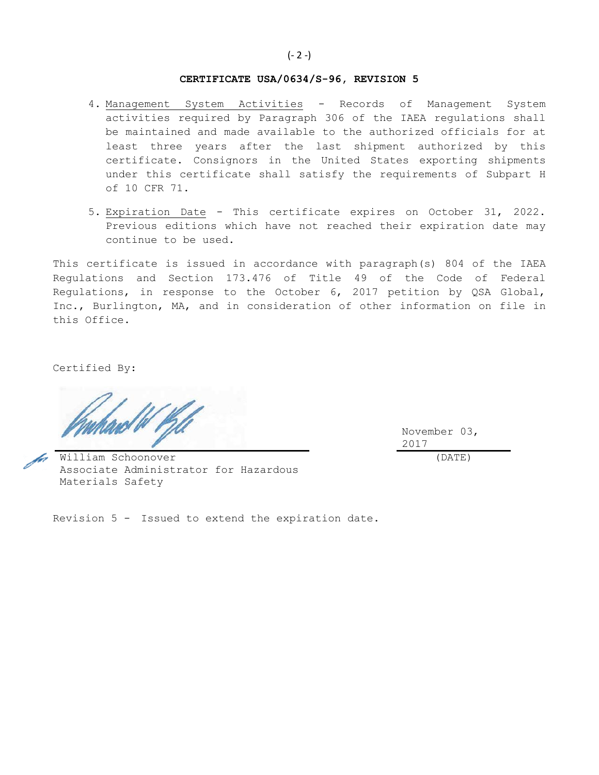## **CERTIFICATE USA/0634/S-96, REVISION 5**

- 4. Management System Activities Records of Management System activities required by Paragraph 306 of the IAEA regulations shall be maintained and made available to the authorized officials for at least three years after the last shipment authorized by this certificate. Consignors in the United States exporting shipments under this certificate shall satisfy the requirements of Subpart H of 10 CFR 71.
- 5. Expiration Date This certificate expires on October 31, 2022. Previous editions which have not reached their expiration date may continue to be used.

This certificate is issued in accordance with paragraph(s) 804 of the IAEA Regulations and Section 173.476 of Title 49 of the Code of Federal Regulations, in response to the October 6, 2017 petition by QSA Global, Inc., Burlington, MA, and in consideration of other information on file in this Office.

Certified By:

November 03, 2017

(DATE)

William Schoonover Associate Administrator for Hazardous Materials Safety

Revision 5 - Issued to extend the expiration date.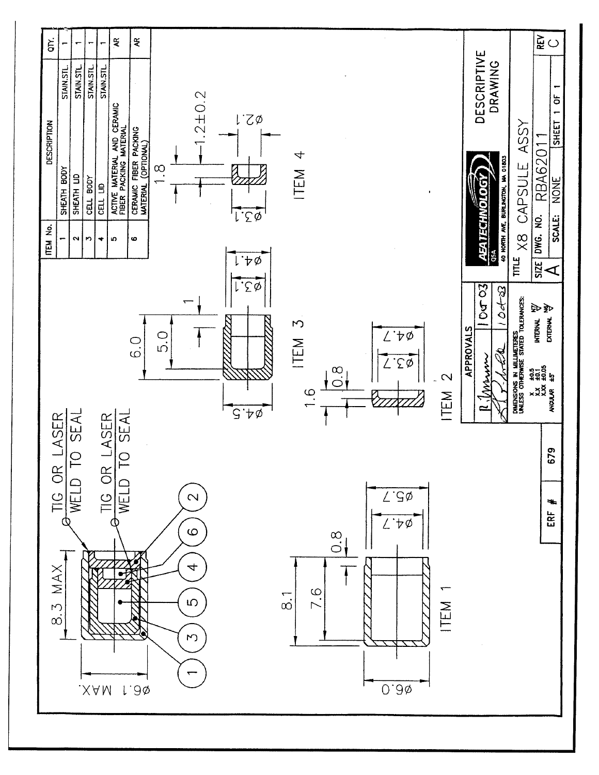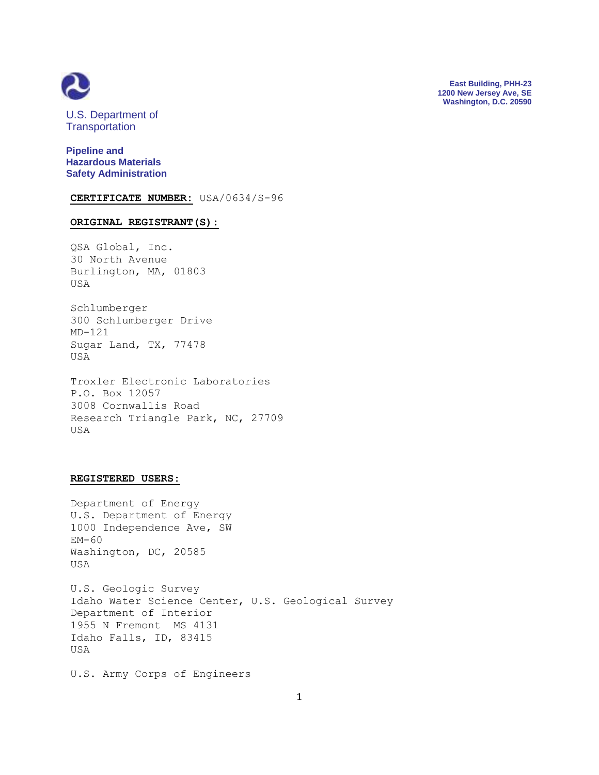

**East Building, PHH-23 1200 New Jersey Ave, SE Washington, D.C. 20590**

U.S. Department of **Transportation** 

**Pipeline and Hazardous Materials Safety Administration**

**CERTIFICATE NUMBER:** USA/0634/S-96

## **ORIGINAL REGISTRANT(S):**

QSA Global, Inc. 30 North Avenue Burlington, MA, 01803 USA

Schlumberger 300 Schlumberger Drive MD-121 Sugar Land, TX, 77478 USA

Troxler Electronic Laboratories P.O. Box 12057 3008 Cornwallis Road Research Triangle Park, NC, 27709 USA

## **REGISTERED USERS:**

Department of Energy U.S. Department of Energy 1000 Independence Ave, SW EM-60 Washington, DC, 20585 USA

U.S. Geologic Survey Idaho Water Science Center, U.S. Geological Survey Department of Interior 1955 N Fremont MS 4131 Idaho Falls, ID, 83415 USA

U.S. Army Corps of Engineers